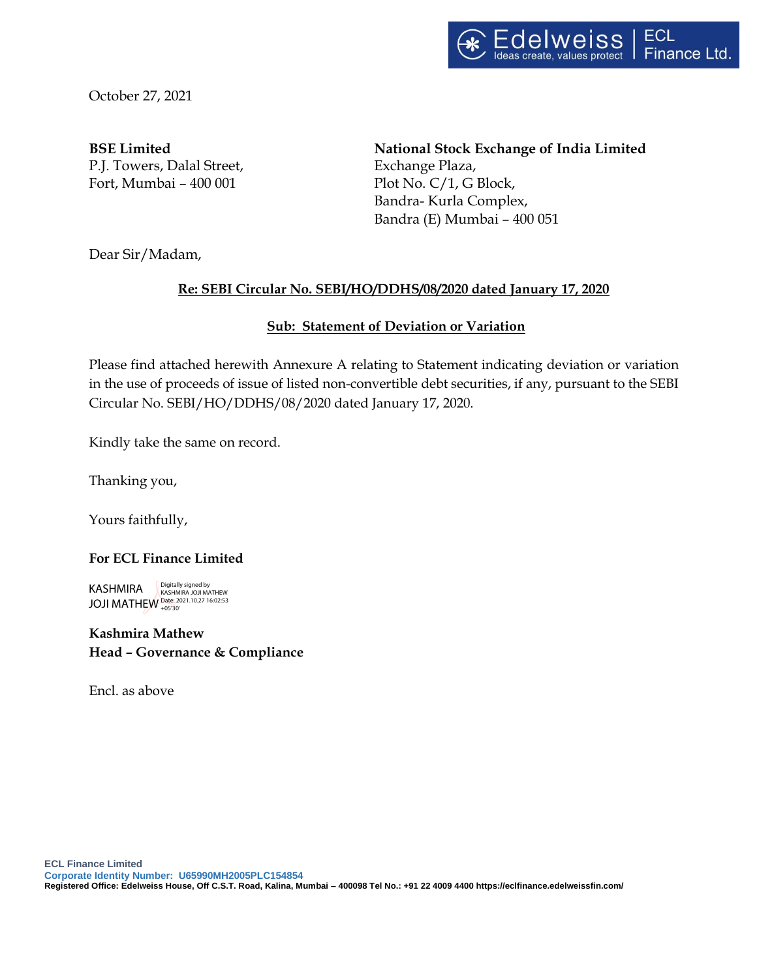October 27, 2021

P.J. Towers, Dalal Street, Exchange Plaza, Fort, Mumbai – 400 001 Plot No. C/1, G Block,

**BSE Limited National Stock Exchange of India Limited** Bandra- Kurla Complex, Bandra (E) Mumbai – 400 051

Dear Sir/Madam,

# **Re: SEBI Circular No. SEBI/HO/DDHS/08/2020 dated January 17, 2020**

### **Sub: Statement of Deviation or Variation**

Please find attached herewith Annexure A relating to Statement indicating deviation or variation in the use of proceeds of issue of listed non-convertible debt securities, if any, pursuant to the SEBI Circular No. SEBI/HO/DDHS/08/2020 dated January 17, 2020.

Kindly take the same on record.

Thanking you,

Yours faithfully,

#### **For ECL Finance Limited**

KASHMIRA JOJI MATHEW Date: 2021.10.27 16:02:53 +05'30'Digitally signed by KASHMIRA JOJI MATHEW

# **Kashmira Mathew Head – Governance & Compliance**

Encl. as above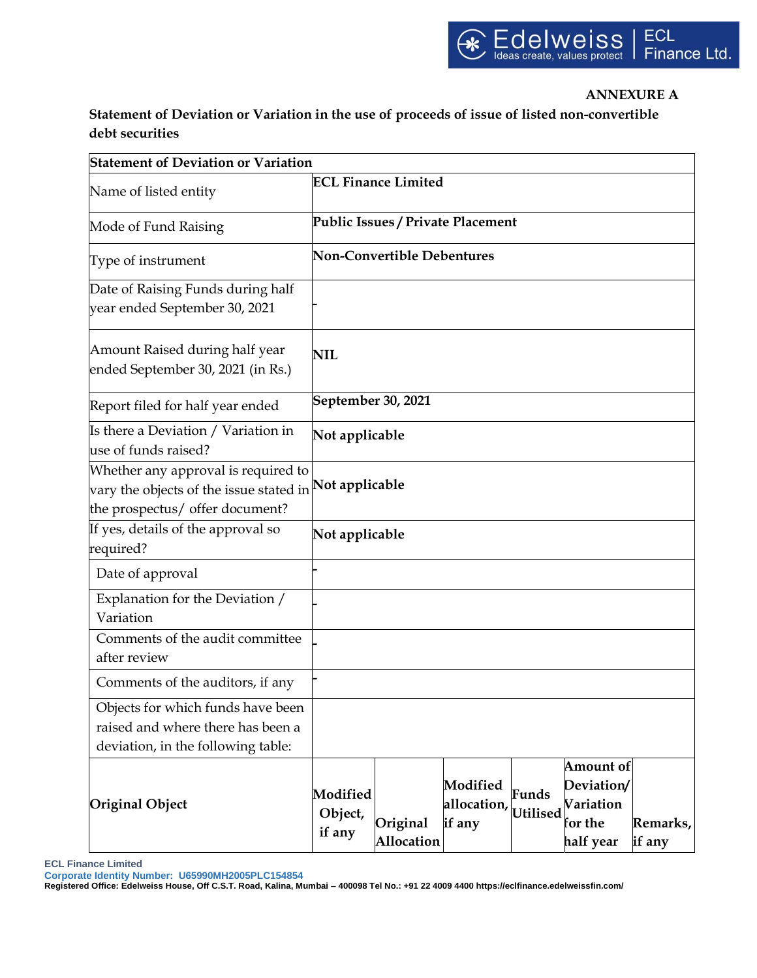### **ANNEXURE A**

**Statement of Deviation or Variation in the use of proceeds of issue of listed non-convertible debt securities**

| <b>Statement of Deviation or Variation</b>                                                                                              |                                   |                        |                                   |                   |                                                              |                    |  |  |  |  |  |
|-----------------------------------------------------------------------------------------------------------------------------------------|-----------------------------------|------------------------|-----------------------------------|-------------------|--------------------------------------------------------------|--------------------|--|--|--|--|--|
| Name of listed entity                                                                                                                   | <b>ECL Finance Limited</b>        |                        |                                   |                   |                                                              |                    |  |  |  |  |  |
| Mode of Fund Raising                                                                                                                    | Public Issues / Private Placement |                        |                                   |                   |                                                              |                    |  |  |  |  |  |
| Type of instrument                                                                                                                      | <b>Non-Convertible Debentures</b> |                        |                                   |                   |                                                              |                    |  |  |  |  |  |
| Date of Raising Funds during half<br>year ended September 30, 2021                                                                      |                                   |                        |                                   |                   |                                                              |                    |  |  |  |  |  |
| Amount Raised during half year<br>ended September 30, 2021 (in Rs.)                                                                     | NIL                               |                        |                                   |                   |                                                              |                    |  |  |  |  |  |
| Report filed for half year ended                                                                                                        | September 30, 2021                |                        |                                   |                   |                                                              |                    |  |  |  |  |  |
| Is there a Deviation / Variation in<br>use of funds raised?                                                                             | Not applicable                    |                        |                                   |                   |                                                              |                    |  |  |  |  |  |
| Whether any approval is required to<br>vary the objects of the issue stated in <b>Not applicable</b><br>the prospectus/ offer document? |                                   |                        |                                   |                   |                                                              |                    |  |  |  |  |  |
| If yes, details of the approval so<br>required?                                                                                         | Not applicable                    |                        |                                   |                   |                                                              |                    |  |  |  |  |  |
| Date of approval                                                                                                                        |                                   |                        |                                   |                   |                                                              |                    |  |  |  |  |  |
| Explanation for the Deviation /<br>Variation                                                                                            |                                   |                        |                                   |                   |                                                              |                    |  |  |  |  |  |
| Comments of the audit committee<br>after review                                                                                         |                                   |                        |                                   |                   |                                                              |                    |  |  |  |  |  |
| Comments of the auditors, if any                                                                                                        |                                   |                        |                                   |                   |                                                              |                    |  |  |  |  |  |
| Objects for which funds have been<br>raised and where there has been a<br>deviation, in the following table:                            |                                   |                        |                                   |                   |                                                              |                    |  |  |  |  |  |
| <b>Original Object</b>                                                                                                                  | Modified<br>Object,<br>if any     | Original<br>Allocation | Modified<br>allocation,<br>if any | Funds<br>Utilised | Amount of<br>Deviation/<br>Variation<br>for the<br>half year | Remarks,<br>if any |  |  |  |  |  |

**ECL Finance Limited**

**Corporate Identity Number: U65990MH2005PLC154854**

**Registered Office: Edelweiss House, Off C.S.T. Road, Kalina, Mumbai – 400098 Tel No.: +91 22 4009 4400 https://eclfinance.edelweissfin.com/**